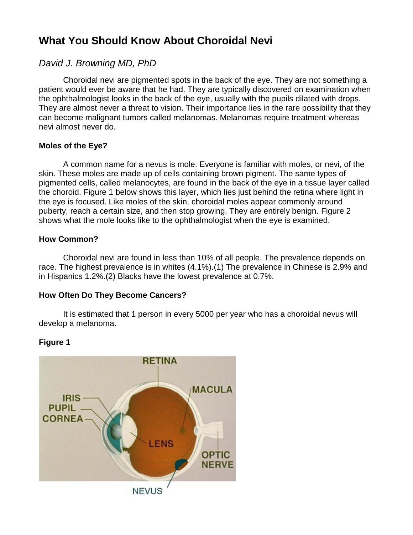## **What You Should Know About Choroidal Nevi**

### *David J. Browning MD, PhD*

Choroidal nevi are pigmented spots in the back of the eye. They are not something a patient would ever be aware that he had. They are typically discovered on examination when the ophthalmologist looks in the back of the eye, usually with the pupils dilated with drops. They are almost never a threat to vision. Their importance lies in the rare possibility that they can become malignant tumors called melanomas. Melanomas require treatment whereas nevi almost never do.

### **Moles of the Eye?**

A common name for a nevus is mole. Everyone is familiar with moles, or nevi, of the skin. These moles are made up of cells containing brown pigment. The same types of pigmented cells, called melanocytes, are found in the back of the eye in a tissue layer called the choroid. Figure 1 below shows this layer, which lies just behind the retina where light in the eye is focused. Like moles of the skin, choroidal moles appear commonly around puberty, reach a certain size, and then stop growing. They are entirely benign. Figure 2 shows what the mole looks like to the ophthalmologist when the eye is examined.

### **How Common?**

Choroidal nevi are found in less than 10% of all people. The prevalence depends on race. The highest prevalence is in whites (4.1%).(1) The prevalence in Chinese is 2.9% and in Hispanics 1.2%.(2) Blacks have the lowest prevalence at 0.7%.

### **How Often Do They Become Cancers?**

It is estimated that 1 person in every 5000 per year who has a choroidal nevus will develop a melanoma.

# **RETINA MACULA IRIS PUPIL CORNEA** LENS **OPTIC NERVE NEVUS**

#### **Figure 1**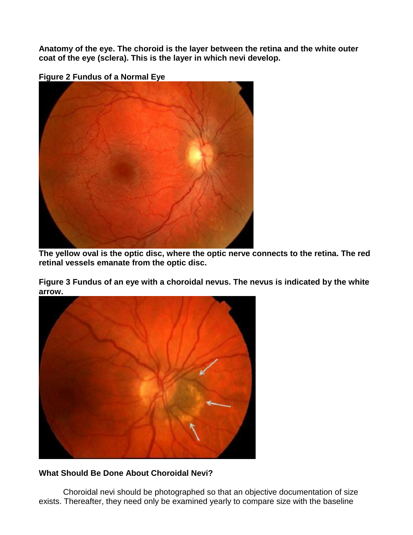**Anatomy of the eye. The choroid is the layer between the retina and the white outer coat of the eye (sclera). This is the layer in which nevi develop.**

**Figure 2 Fundus of a Normal Eye**



**The yellow oval is the optic disc, where the optic nerve connects to the retina. The red retinal vessels emanate from the optic disc.**

**Figure 3 Fundus of an eye with a choroidal nevus. The nevus is indicated by the white arrow.**



### **What Should Be Done About Choroidal Nevi?**

Choroidal nevi should be photographed so that an objective documentation of size exists. Thereafter, they need only be examined yearly to compare size with the baseline